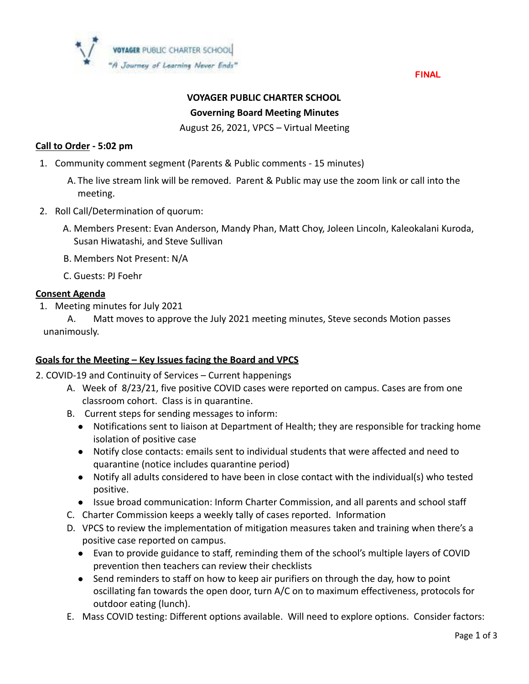

FINAL

# **VOYAGER PUBLIC CHARTER SCHOOL Governing Board Meeting Minutes**

August 26, 2021, VPCS – Virtual Meeting

### **Call to Order - 5:02 pm**

- 1. Community comment segment (Parents & Public comments 15 minutes)
	- A. The live stream link will be removed. Parent & Public may use the zoom link or call into the meeting.
- 2. Roll Call/Determination of quorum:
	- A. Members Present: Evan Anderson, Mandy Phan, Matt Choy, Joleen Lincoln, Kaleokalani Kuroda, Susan Hiwatashi, and Steve Sullivan
	- B. Members Not Present: N/A
	- C. Guests: PJ Foehr

#### **Consent Agenda**

1. Meeting minutes for July 2021

A. Matt moves to approve the July 2021 meeting minutes, Steve seconds Motion passes unanimously.

#### **Goals for the Meeting – Key Issues facing the Board and VPCS**

- 2. COVID-19 and Continuity of Services Current happenings
	- A. Week of 8/23/21, five positive COVID cases were reported on campus. Cases are from one classroom cohort. Class is in quarantine.
	- B. Current steps for sending messages to inform:
		- Notifications sent to liaison at Department of Health; they are responsible for tracking home isolation of positive case
		- Notify close contacts: emails sent to individual students that were affected and need to quarantine (notice includes quarantine period)
		- Notify all adults considered to have been in close contact with the individual(s) who tested positive.
		- Issue broad communication: Inform Charter Commission, and all parents and school staff
	- C. Charter Commission keeps a weekly tally of cases reported. Information
	- D. VPCS to review the implementation of mitigation measures taken and training when there's a positive case reported on campus.
		- Evan to provide guidance to staff, reminding them of the school's multiple layers of COVID prevention then teachers can review their checklists
		- Send reminders to staff on how to keep air purifiers on through the day, how to point oscillating fan towards the open door, turn A/C on to maximum effectiveness, protocols for outdoor eating (lunch).
	- E. Mass COVID testing: Different options available. Will need to explore options. Consider factors: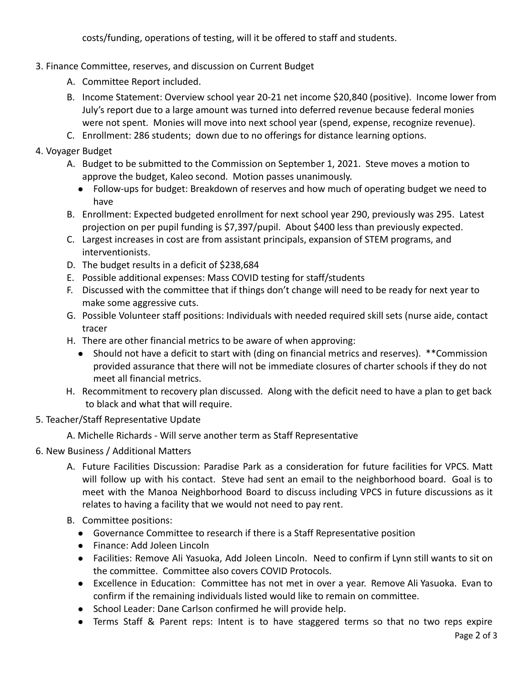costs/funding, operations of testing, will it be offered to staff and students.

- 3. Finance Committee, reserves, and discussion on Current Budget
	- A. Committee Report included.
	- B. Income Statement: Overview school year 20-21 net income \$20,840 (positive). Income lower from July's report due to a large amount was turned into deferred revenue because federal monies were not spent. Monies will move into next school year (spend, expense, recognize revenue).
	- C. Enrollment: 286 students; down due to no offerings for distance learning options.
- 4. Voyager Budget
	- A. Budget to be submitted to the Commission on September 1, 2021. Steve moves a motion to approve the budget, Kaleo second. Motion passes unanimously.
		- Follow-ups for budget: Breakdown of reserves and how much of operating budget we need to have
	- B. Enrollment: Expected budgeted enrollment for next school year 290, previously was 295. Latest projection on per pupil funding is \$7,397/pupil. About \$400 less than previously expected.
	- C. Largest increases in cost are from assistant principals, expansion of STEM programs, and interventionists.
	- D. The budget results in a deficit of \$238,684
	- E. Possible additional expenses: Mass COVID testing for staff/students
	- F. Discussed with the committee that if things don't change will need to be ready for next year to make some aggressive cuts.
	- G. Possible Volunteer staff positions: Individuals with needed required skill sets (nurse aide, contact tracer
	- H. There are other financial metrics to be aware of when approving:
		- Should not have a deficit to start with (ding on financial metrics and reserves). \*\*Commission provided assurance that there will not be immediate closures of charter schools if they do not meet all financial metrics.
	- H. Recommitment to recovery plan discussed. Along with the deficit need to have a plan to get back to black and what that will require.
- 5. Teacher/Staff Representative Update
	- A. Michelle Richards Will serve another term as Staff Representative
- 6. New Business / Additional Matters
	- A. Future Facilities Discussion: Paradise Park as a consideration for future facilities for VPCS. Matt will follow up with his contact. Steve had sent an email to the neighborhood board. Goal is to meet with the Manoa Neighborhood Board to discuss including VPCS in future discussions as it relates to having a facility that we would not need to pay rent.
	- B. Committee positions:
		- Governance Committee to research if there is a Staff Representative position
		- Finance: Add Joleen Lincoln
		- Facilities: Remove Ali Yasuoka, Add Joleen Lincoln. Need to confirm if Lynn still wants to sit on the committee. Committee also covers COVID Protocols.
		- Excellence in Education: Committee has not met in over a year. Remove Ali Yasuoka. Evan to confirm if the remaining individuals listed would like to remain on committee.
		- School Leader: Dane Carlson confirmed he will provide help.
		- Terms Staff & Parent reps: Intent is to have staggered terms so that no two reps expire